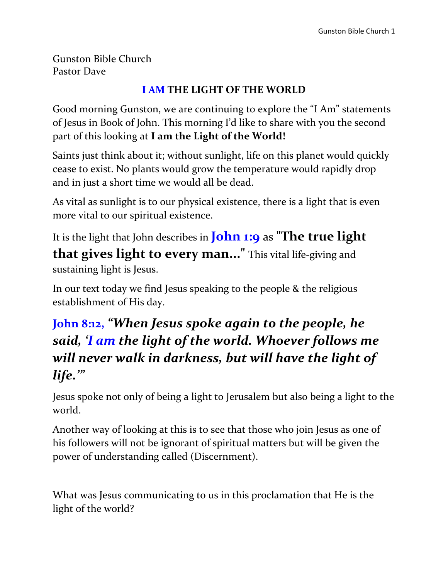Gunston Bible Church Pastor Dave

#### **I AM THE LIGHT OF THE WORLD**

Good morning Gunston, we are continuing to explore the "I Am" statements of Jesus in Book of John. This morning I'd like to share with you the second part of this looking at **I am the Light of the World!**

Saints just think about it; without sunlight, life on this planet would quickly cease to exist. No plants would grow the temperature would rapidly drop and in just a short time we would all be dead.

As vital as sunlight is to our physical existence, there is a light that is even more vital to our spiritual existence.

It is the light that John describes in **John 1:9** as **"The true light that gives light to every man..."** This vital life-giving and sustaining light is Jesus.

In our text today we find Jesus speaking to the people & the religious establishment of His day.

## **John 8:12,** *"When Jesus spoke again to the people, he said, 'I am the light of the world. Whoever follows me will never walk in darkness, but will have the light of life.'"*

Jesus spoke not only of being a light to Jerusalem but also being a light to the world.

Another way of looking at this is to see that those who join Jesus as one of his followers will not be ignorant of spiritual matters but will be given the power of understanding called (Discernment).

What was Jesus communicating to us in this proclamation that He is the light of the world?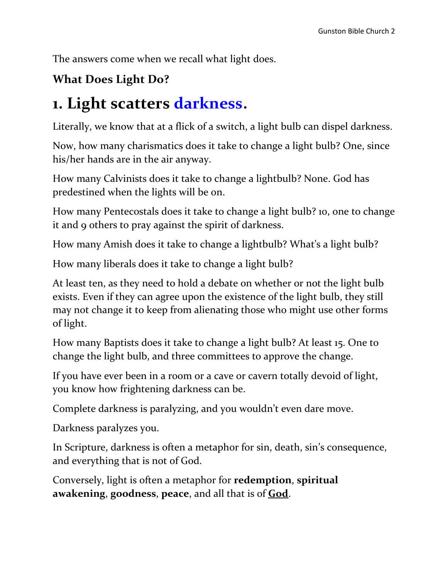The answers come when we recall what light does.

### **What Does Light Do?**

# **1. Light scatters darkness.**

Literally, we know that at a flick of a switch, a light bulb can dispel darkness.

Now, how many charismatics does it take to change a light bulb? One, since his/her hands are in the air anyway.

How many Calvinists does it take to change a lightbulb? None. God has predestined when the lights will be on.

How many Pentecostals does it take to change a light bulb? 10, one to change it and 9 others to pray against the spirit of darkness.

How many Amish does it take to change a lightbulb? What's a light bulb?

How many liberals does it take to change a light bulb?

At least ten, as they need to hold a debate on whether or not the light bulb exists. Even if they can agree upon the existence of the light bulb, they still may not change it to keep from alienating those who might use other forms of light.

How many Baptists does it take to change a light bulb? At least 15. One to change the light bulb, and three committees to approve the change.

If you have ever been in a room or a cave or cavern totally devoid of light, you know how frightening darkness can be.

Complete darkness is paralyzing, and you wouldn't even dare move.

Darkness paralyzes you.

In Scripture, darkness is often a metaphor for sin, death, sin's consequence, and everything that is not of God.

Conversely, light is often a metaphor for **redemption**, **spiritual awakening**, **goodness**, **peace**, and all that is of **God**.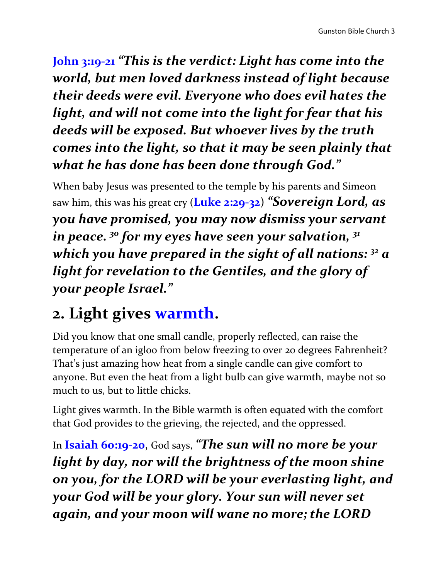**John 3:19-21** *"This is the verdict: Light has come into the world, but men loved darkness instead of light because their deeds were evil. Everyone who does evil hates the light, and will not come into the light for fear that his deeds will be exposed. But whoever lives by the truth comes into the light, so that it may be seen plainly that what he has done has been done through God."*

When baby Jesus was presented to the temple by his parents and Simeon saw him, this was his great cry (**Luke 2:29-32**) *"Sovereign Lord, as you have promised, you may now dismiss your servant in peace. <sup>30</sup> for my eyes have seen your salvation, <sup>31</sup> which you have prepared in the sight of all nations: <sup>32</sup> a light for revelation to the Gentiles, and the glory of your people Israel."*

# **2. Light gives warmth.**

Did you know that one small candle, properly reflected, can raise the temperature of an igloo from below freezing to over 20 degrees Fahrenheit? That's just amazing how heat from a single candle can give comfort to anyone. But even the heat from a light bulb can give warmth, maybe not so much to us, but to little chicks.

Light gives warmth. In the Bible warmth is often equated with the comfort that God provides to the grieving, the rejected, and the oppressed.

In **Isaiah 60:19-20**, God says, *"The sun will no more be your light by day, nor will the brightness of the moon shine on you, for the LORD will be your everlasting light, and your God will be your glory. Your sun will never set again, and your moon will wane no more; the LORD*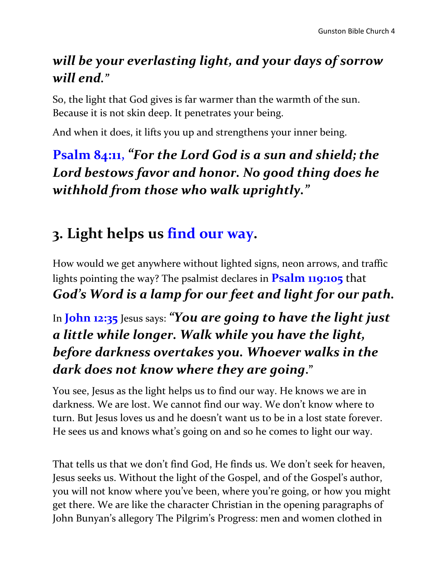## *will be your everlasting light, and your days of sorrow will end."*

So, the light that God gives is far warmer than the warmth of the sun. Because it is not skin deep. It penetrates your being.

And when it does, it lifts you up and strengthens your inner being.

**Psalm 84:11,**  *"For the Lord God is a sun and shield; the Lord bestows favor and honor. No good thing does he withhold from those who walk uprightly."*

# **3. Light helps us find our way.**

How would we get anywhere without lighted signs, neon arrows, and traffic lights pointing the way? The psalmist declares in **Psalm 119:105** that *God's Word is a lamp for our feet and light for our path.* 

## In **John 12:35** Jesus says: *"You are going to have the light just a little while longer. Walk while you have the light, before darkness overtakes you. Whoever walks in the dark does not know where they are going***."**

You see, Jesus as the light helps us to find our way. He knows we are in darkness. We are lost. We cannot find our way. We don't know where to turn. But Jesus loves us and he doesn't want us to be in a lost state forever. He sees us and knows what's going on and so he comes to light our way.

That tells us that we don't find God, He finds us. We don't seek for heaven, Jesus seeks us. Without the light of the Gospel, and of the Gospel's author, you will not know where you've been, where you're going, or how you might get there. We are like the character Christian in the opening paragraphs of John Bunyan's allegory The Pilgrim's Progress: men and women clothed in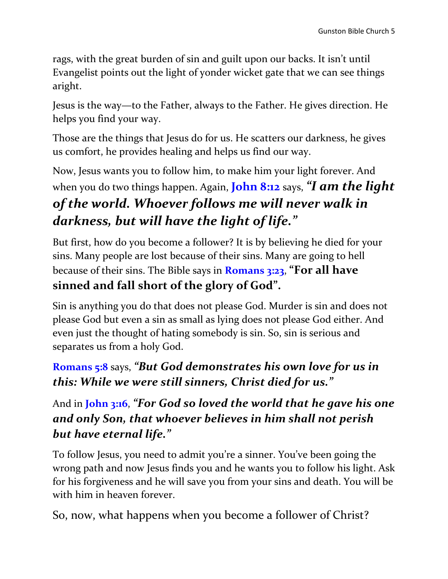rags, with the great burden of sin and guilt upon our backs. It isn't until Evangelist points out the light of yonder wicket gate that we can see things aright.

Jesus is the way—to the Father, always to the Father. He gives direction. He helps you find your way.

Those are the things that Jesus do for us. He scatters our darkness, he gives us comfort, he provides healing and helps us find our way.

Now, Jesus wants you to follow him, to make him your light forever. And when you do two things happen. Again, **John 8:12** says, *"I am the light of the world. Whoever follows me will never walk in darkness, but will have the light of life."*

But first, how do you become a follower? It is by believing he died for your sins. Many people are lost because of their sins. Many are going to hell because of their sins. The Bible says in **Romans 3:23**, **"For all have sinned and fall short of the glory of God".** 

Sin is anything you do that does not please God. Murder is sin and does not please God but even a sin as small as lying does not please God either. And even just the thought of hating somebody is sin. So, sin is serious and separates us from a holy God.

### **Romans 5:8** says, *"But God demonstrates his own love for us in this: While we were still sinners, Christ died for us."*

### And in **John 3:16**, *"For God so loved the world that he gave his one and only Son, that whoever believes in him shall not perish but have eternal life."*

To follow Jesus, you need to admit you're a sinner. You've been going the wrong path and now Jesus finds you and he wants you to follow his light. Ask for his forgiveness and he will save you from your sins and death. You will be with him in heaven forever.

So, now, what happens when you become a follower of Christ?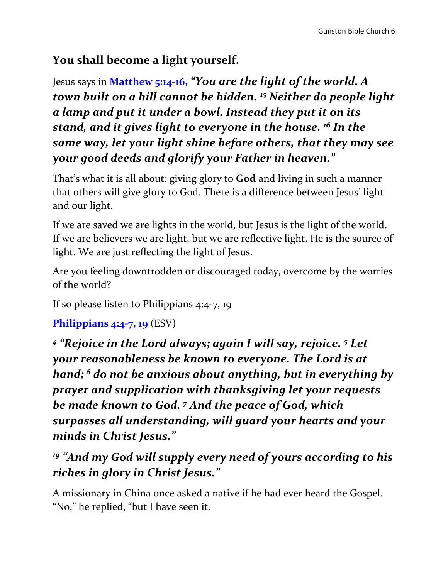#### **You shall become a light yourself.**

Jesus says in **Matthew 5:14-16,** *"You are the light of the world. A town built on a hill cannot be hidden. <sup>15</sup> Neither do people light a lamp and put it under a bowl. Instead they put it on its stand, and it gives light to everyone in the house. <sup>16</sup> In the same way, let your light shine before others, that they may see your good deeds and glorify your Father in heaven."*

That's what it is all about: giving glory to **God** and living in such a manner that others will give glory to God. There is a difference between Jesus' light and our light.

If we are saved we are lights in the world, but Jesus is the light of the world. If we are believers we are light, but we are reflective light. He is the source of light. We are just reflecting the light of Jesus.

Are you feeling downtrodden or discouraged today, overcome by the worries of the world?

If so please listen to Philippians 4:4-7, 19

**Philippians 4:4-7, 19** (ESV)

*4 "Rejoice in the Lord always; again I will say, rejoice. <sup>5</sup> Let your reasonableness be known to everyone. The Lord is at hand; <sup>6</sup> do not be anxious about anything, but in everything by prayer and supplication with thanksgiving let your requests be made known to God. <sup>7</sup> And the peace of God, which surpasses all understanding, will guard your hearts and your minds in Christ Jesus."*

*<sup>19</sup> "And my God will supply every need of yours according to his riches in glory in Christ Jesus."*

A missionary in China once asked a native if he had ever heard the Gospel. "No," he replied, "but I have seen it.